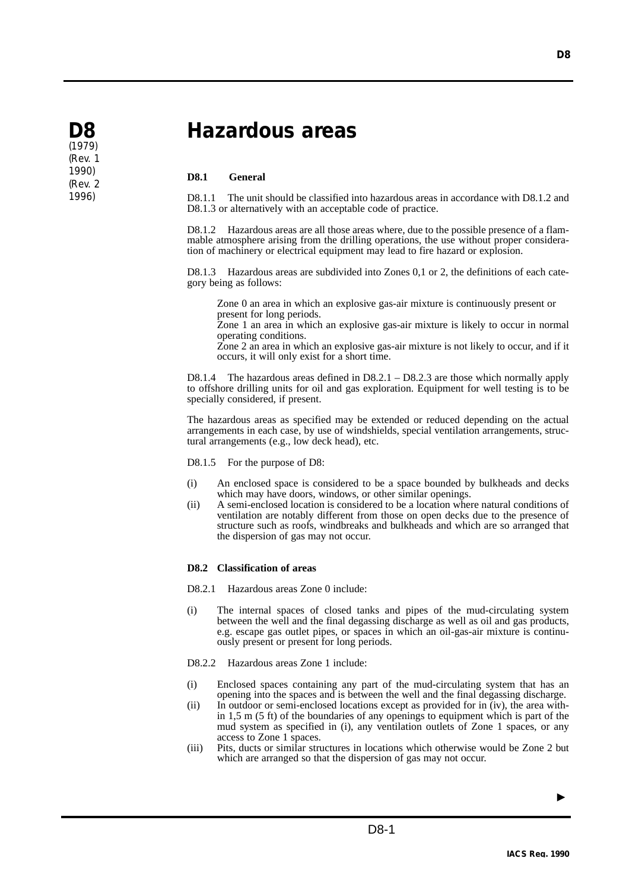# **Hazardous areas**

**D8.1 General**

**D8** (1979) (Rev. 1 1990) (Rev. 2 1996)

D8.1.1 The unit should be classified into hazardous areas in accordance with D8.1.2 and D8.1.3 or alternatively with an acceptable code of practice.

D8.1.2 Hazardous areas are all those areas where, due to the possible presence of a flammable atmosphere arising from the drilling operations, the use without proper consideration of machinery or electrical equipment may lead to fire hazard or explosion.

D8.1.3 Hazardous areas are subdivided into Zones 0,1 or 2, the definitions of each category being as follows:

Zone 0 an area in which an explosive gas-air mixture is continuously present or present for long periods.

Zone 1 an area in which an explosive gas-air mixture is likely to occur in normal operating conditions.

Zone 2 an area in which an explosive gas-air mixture is not likely to occur, and if it occurs, it will only exist for a short time.

D8.1.4 The hazardous areas defined in D8.2.1 – D8.2.3 are those which normally apply to offshore drilling units for oil and gas exploration. Equipment for well testing is to be specially considered, if present.

The hazardous areas as specified may be extended or reduced depending on the actual arrangements in each case, by use of windshields, special ventilation arrangements, structural arrangements (e.g., low deck head), etc.

D8.1.5 For the purpose of D8:

- (i) An enclosed space is considered to be a space bounded by bulkheads and decks which may have doors, windows, or other similar openings.
- (ii) A semi-enclosed location is considered to be a location where natural conditions of ventilation are notably different from those on open decks due to the presence of structure such as roofs, windbreaks and bulkheads and which are so arranged that the dispersion of gas may not occur.

#### **D8.2 Classification of areas**

D8.2.1 Hazardous areas Zone 0 include:

- (i) The internal spaces of closed tanks and pipes of the mud-circulating system between the well and the final degassing discharge as well as oil and gas products, e.g. escape gas outlet pipes, or spaces in which an oil-gas-air mixture is continuously present or present for long periods.
- D8.2.2 Hazardous areas Zone 1 include:
- (i) Enclosed spaces containing any part of the mud-circulating system that has an opening into the spaces and is between the well and the final degassing discharge.
- (ii) In outdoor or semi-enclosed locations except as provided for in (iv), the area within 1,5 m (5 ft) of the boundaries of any openings to equipment which is part of the mud system as specified in (i), any ventilation outlets of Zone 1 spaces, or any access to Zone 1 spaces.
- (iii) Pits, ducts or similar structures in locations which otherwise would be Zone 2 but which are arranged so that the dispersion of gas may not occur.

▲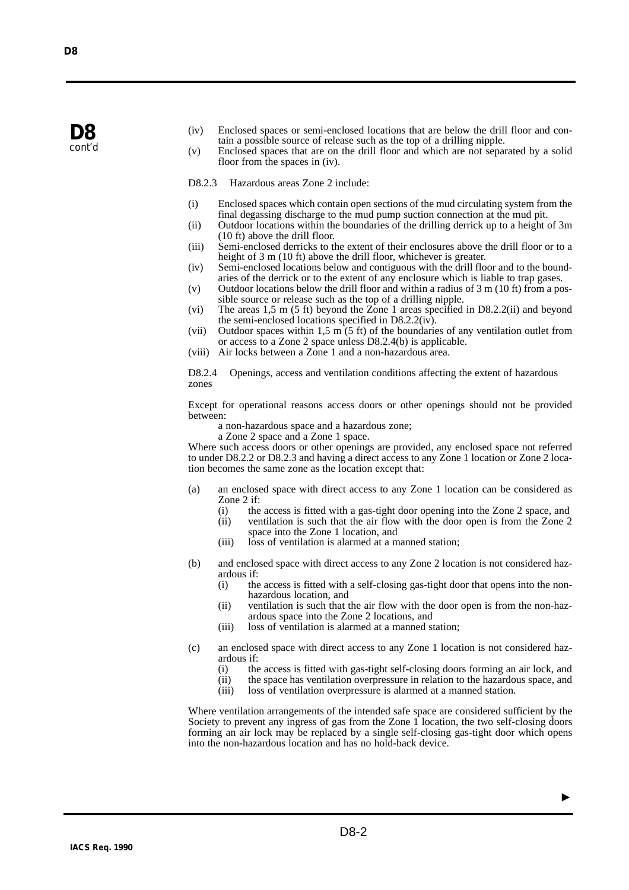- (iv) Enclosed spaces or semi-enclosed locations that are below the drill floor and contain a possible source of release such as the top of a drilling nipple.
- (v) Enclosed spaces that are on the drill floor and which are not separated by a solid floor from the spaces in (iv).
- D8.2.3 Hazardous areas Zone 2 include:
- (i) Enclosed spaces which contain open sections of the mud circulating system from the final degassing discharge to the mud pump suction connection at the mud pit.
- (ii) Outdoor locations within the boundaries of the drilling derrick up to a height of 3m (10 ft) above the drill floor.
- (iii) Semi-enclosed derricks to the extent of their enclosures above the drill floor or to a height of 3 m (10 ft) above the drill floor, whichever is greater.
- (iv) Semi-enclosed locations below and contiguous with the drill floor and to the boundaries of the derrick or to the extent of any enclosure which is liable to trap gases.
- (v) Outdoor locations below the drill floor and within a radius of 3 m (10 ft) from a possible source or release such as the top of a drilling nipple.
- (vi) The areas 1,5 m (5 ft) beyond the Zone 1 areas specified in D8.2.2(ii) and beyond the semi-enclosed locations specified in D8.2.2(iv).
- (vii) Outdoor spaces within 1,5 m  $(5 \text{ ft})$  of the boundaries of any ventilation outlet from or access to a Zone 2 space unless D8.2.4(b) is applicable.
- (viii) Air locks between a Zone 1 and a non-hazardous area.

D8.2.4 Openings, access and ventilation conditions affecting the extent of hazardous zones

Except for operational reasons access doors or other openings should not be provided between:

a non-hazardous space and a hazardous zone;

a Zone 2 space and a Zone 1 space.

Where such access doors or other openings are provided, any enclosed space not referred to under D8.2.2 or D8.2.3 and having a direct access to any Zone 1 location or Zone 2 location becomes the same zone as the location except that:

- (a) an enclosed space with direct access to any Zone 1 location can be considered as Zone 2 if:
	- (i) the access is fitted with a gas-tight door opening into the Zone 2 space, and
	- (ii) ventilation is such that the air flow with the door open is from the Zone 2 space into the Zone 1 location, and
	- (iii) loss of ventilation is alarmed at a manned station;
- (b) and enclosed space with direct access to any Zone 2 location is not considered hazardous if:<br>(i) the
	- the access is fitted with a self-closing gas-tight door that opens into the nonhazardous location, and
	- (ii) ventilation is such that the air flow with the door open is from the non-hazardous space into the Zone 2 locations, and
	- (iii) loss of ventilation is alarmed at a manned station;
- (c) an enclosed space with direct access to any Zone 1 location is not considered hazardous if:
	- (i) the access is fitted with gas-tight self-closing doors forming an air lock, and
	- (ii) the space has ventilation overpressure in relation to the hazardous space, and
	- (iii) loss of ventilation overpressure is alarmed at a manned station.

Where ventilation arrangements of the intended safe space are considered sufficient by the Society to prevent any ingress of gas from the Zone 1 location, the two self-closing doors forming an air lock may be replaced by a single self-closing gas-tight door which opens into the non-hazardous location and has no hold-back device.

▲